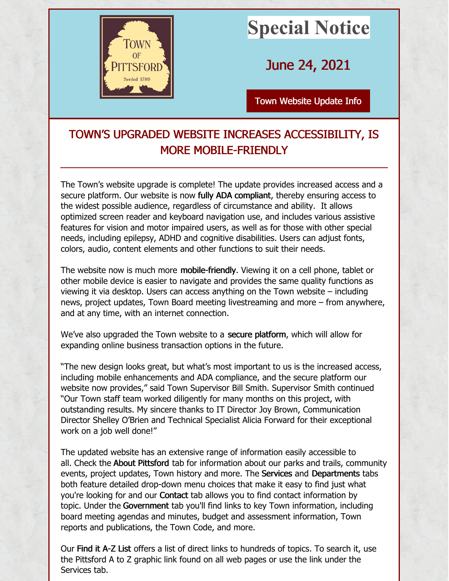

## **Special Notice**

June 24, 2021

Town [Website](http://www.townofpittsford.org) Update Info

## TOWN'S UPGRADED WEBSITE INCREASES ACCESSIBILITY, IS MORE MOBILE-FRIENDLY

The Town's website upgrade is complete! The update provides increased access and a secure platform. Our website is now fully ADA compliant, thereby ensuring access to the widest possible audience, regardless of circumstance and ability. It allows optimized screen reader and keyboard navigation use, and includes various assistive features for vision and motor impaired users, as well as for those with other special needs, including epilepsy, ADHD and cognitive disabilities. Users can adjust fonts, colors, audio, content elements and other functions to suit their needs.

The website now is much more mobile-friendly. Viewing it on a cell phone, tablet or other mobile device is easier to navigate and provides the same quality functions as viewing it via desktop. Users can access anything on the Town website – including news, project updates, Town Board meeting livestreaming and more – from anywhere, and at any time, with an internet connection.

We've also upgraded the Town website to a secure platform, which will allow for expanding online business transaction options in the future.

"The new design looks great, but what's most important to us is the increased access, including mobile enhancements and ADA compliance, and the secure platform our website now provides," said Town Supervisor Bill Smith. Supervisor Smith continued "Our Town staff team worked diligently for many months on this project, with outstanding results. My sincere thanks to IT Director Joy Brown, Communication Director Shelley O'Brien and Technical Specialist Alicia Forward for their exceptional work on a job well done!"

The updated website has an extensive range of information easily accessible to all. Check the About Pittsford tab for information about our parks and trails, community events, project updates, Town history and more. The Services and Departments tabs both feature detailed drop-down menu choices that make it easy to find just what you're looking for and our Contact tab allows you to find contact information by topic. Under the Government tab you'll find links to key Town information, including board meeting agendas and minutes, budget and assessment information, Town reports and publications, the Town Code, and more.

Our Find it A-Z List offers a list of direct links to hundreds of topics. To search it, use the Pittsford A to Z graphic link found on all web pages or use the link under the Services tab.